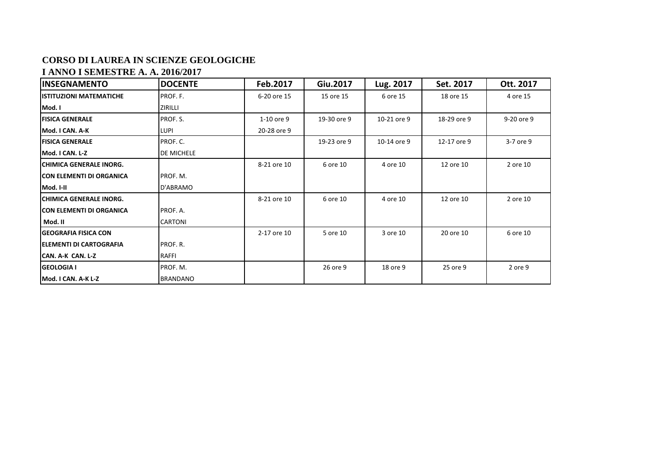## **CORSO DI LAUREA IN SCIENZE GEOLOGICHE**

## **I ANNO I SEMESTRE A. A. 2016/2017**

| <b>INSEGNAMENTO</b>             | <b>DOCENTE</b>    | Feb.2017    | Giu.2017    | Lug. 2017   | Set. 2017   | Ott. 2017  |
|---------------------------------|-------------------|-------------|-------------|-------------|-------------|------------|
| <b>IISTITUZIONI MATEMATICHE</b> | PROF. F.          | 6-20 ore 15 | 15 ore 15   | 6 ore 15    | 18 ore 15   | 4 ore 15   |
| Mod. I                          | ZIRILLI           |             |             |             |             |            |
| <b>FISICA GENERALE</b>          | PROF. S.          | 1-10 ore 9  | 19-30 ore 9 | 10-21 ore 9 | 18-29 ore 9 | 9-20 ore 9 |
| Mod. I CAN. A-K                 | LUPI              | 20-28 ore 9 |             |             |             |            |
| <b>FISICA GENERALE</b>          | PROF. C.          |             | 19-23 ore 9 | 10-14 ore 9 | 12-17 ore 9 | 3-7 ore 9  |
| Mod. I CAN. L-Z                 | <b>DE MICHELE</b> |             |             |             |             |            |
| <b>ICHIMICA GENERALE INORG.</b> |                   | 8-21 ore 10 | 6 ore 10    | 4 ore 10    | 12 ore 10   | 2 ore 10   |
| <b>CON ELEMENTI DI ORGANICA</b> | IPROF. M.         |             |             |             |             |            |
| Mod. I-II                       | D'ABRAMO          |             |             |             |             |            |
| <b>ICHIMICA GENERALE INORG.</b> |                   | 8-21 ore 10 | 6 ore 10    | 4 ore 10    | 12 ore 10   | 2 ore 10   |
| <b>CON ELEMENTI DI ORGANICA</b> | PROF. A.          |             |             |             |             |            |
| Mod. II                         | <b>CARTONI</b>    |             |             |             |             |            |
| <b>IGEOGRAFIA FISICA CON</b>    |                   | 2-17 ore 10 | 5 ore 10    | 3 ore 10    | 20 ore 10   | 6 ore 10   |
| <b>IELEMENTI DI CARTOGRAFIA</b> | <b>IPROF. R.</b>  |             |             |             |             |            |
| ICAN. A-K CAN. L-Z              | <b>RAFFI</b>      |             |             |             |             |            |
| <b>GEOLOGIA I</b>               | PROF. M.          |             | 26 ore 9    | 18 ore 9    | 25 ore 9    | 2 ore 9    |
| Mod. I CAN. A-K L-Z             | <b>BRANDANO</b>   |             |             |             |             |            |